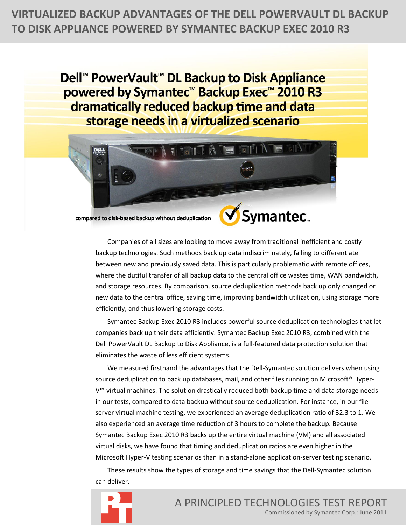**VIRTUALIZED BACKUP ADVANTAGES OF THE DELL POWERVAULT DL BACKUP TO DISK APPLIANCE POWERED BY SYMANTEC BACKUP EXEC 2010 R3** 

> Dell<sup>™</sup> PowerVault<sup>™</sup> DL Backup to Disk Appliance powered by Symantec<sup>™</sup> Backup Exec™ 2010 R3 dramatically reduced backup time and data storage needs in a virtualized scenario



compared to disk-based backup without deduplication

Companies of all sizes are looking to move away from traditional inefficient and costly backup technologies. Such methods back up data indiscriminately, failing to differentiate between new and previously saved data. This is particularly problematic with remote offices, where the dutiful transfer of all backup data to the central office wastes time, WAN bandwidth, and storage resources. By comparison, source deduplication methods back up only changed or new data to the central office, saving time, improving bandwidth utilization, using storage more efficiently, and thus lowering storage costs.

Symantec Backup Exec 2010 R3 includes powerful source deduplication technologies that let companies back up their data efficiently. Symantec Backup Exec 2010 R3, combined with the Dell PowerVault DL Backup to Disk Appliance, is a full-featured data protection solution that eliminates the waste of less efficient systems.

We measured firsthand the advantages that the Dell-Symantec solution delivers when using source deduplication to back up databases, mail, and other files running on Microsoft<sup>®</sup> Hyper-V™ virtual machines. The solution drastically reduced both backup time and data storage needs in our tests, compared to data backup without source deduplication. For instance, in our file server virtual machine testing, we experienced an average deduplication ratio of 32.3 to 1. We also experienced an average time reduction of 3 hours to complete the backup. Because Symantec Backup Exec 2010 R3 backs up the entire virtual machine (VM) and all associated virtual disks, we have found that timing and deduplication ratios are even higher in the Microsoft Hyper-V testing scenarios than in a stand-alone application-server testing scenario.

These results show the types of storage and time savings that the Dell-Symantec solution can deliver.

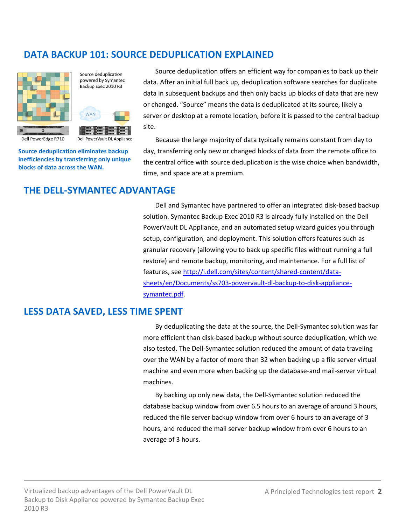# **DATA BACKUP 101: SOURCE DEDUPLICATION EXPLAINED**



Source deduplication powered by Symantec Backup Exec 2010 R3

Dell PowerVault DL Appliance

**WAN** 

**Source deduplication eliminates backup inefficiencies by transferring only unique blocks of data across the WAN.**

Source deduplication offers an efficient way for companies to back up their data. After an initial full back up, deduplication software searches for duplicate data in subsequent backups and then only backs up blocks of data that are new or changed. "Source" means the data is deduplicated at its source, likely a server or desktop at a remote location, before it is passed to the central backup site.

Because the large majority of data typically remains constant from day to day, transferring only new or changed blocks of data from the remote office to the central office with source deduplication is the wise choice when bandwidth, time, and space are at a premium.

## **THE DELL-SYMANTEC ADVANTAGE**

Dell and Symantec have partnered to offer an integrated disk-based backup solution. Symantec Backup Exec 2010 R3 is already fully installed on the Dell PowerVault DL Appliance, and an automated setup wizard guides you through setup, configuration, and deployment. This solution offers features such as granular recovery (allowing you to back up specific files without running a full restore) and remote backup, monitoring, and maintenance. For a full list of features, see [http://i.dell.com/sites/content/shared-content/data](http://i.dell.com/sites/content/shared-content/data-sheets/en/Documents/ss703-powervault-dl-backup-to-disk-appliance-symantec.pdf)[sheets/en/Documents/ss703-powervault-dl-backup-to-disk-appliance](http://i.dell.com/sites/content/shared-content/data-sheets/en/Documents/ss703-powervault-dl-backup-to-disk-appliance-symantec.pdf)[symantec.pdf.](http://i.dell.com/sites/content/shared-content/data-sheets/en/Documents/ss703-powervault-dl-backup-to-disk-appliance-symantec.pdf)

## **LESS DATA SAVED, LESS TIME SPENT**

By deduplicating the data at the source, the Dell-Symantec solution was far more efficient than disk-based backup without source deduplication, which we also tested. The Dell-Symantec solution reduced the amount of data traveling over the WAN by a factor of more than 32 when backing up a file server virtual machine and even more when backing up the database-and mail-server virtual machines.

By backing up only new data, the Dell-Symantec solution reduced the database backup window from over 6.5 hours to an average of around 3 hours, reduced the file server backup window from over 6 hours to an average of 3 hours, and reduced the mail server backup window from over 6 hours to an average of 3 hours.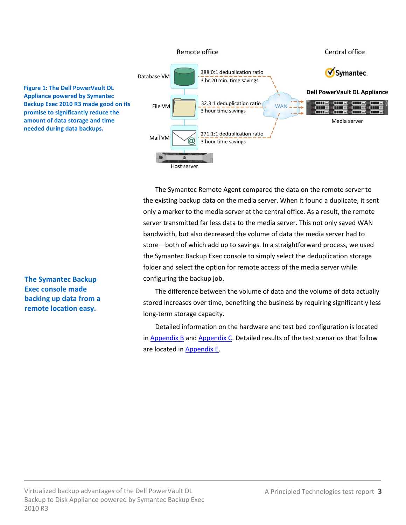

The Symantec Remote Agent compared the data on the remote server to the existing backup data on the media server. When it found a duplicate, it sent only a marker to the media server at the central office. As a result, the remote server transmitted far less data to the media server. This not only saved WAN bandwidth, but also decreased the volume of data the media server had to store—both of which add up to savings. In a straightforward process, we used the Symantec Backup Exec console to simply select the deduplication storage folder and select the option for remote access of the media server while configuring the backup job.

The difference between the volume of data and the volume of data actually stored increases over time, benefiting the business by requiring significantly less long-term storage capacity.

Detailed information on the hardware and test bed configuration is located in Appendix  $B$  and [Appendix C.](#page-11-0) Detailed results of the test scenarios that follow are located in **Appendix E.** 

**The Symantec Backup Exec console made backing up data from a remote location easy.**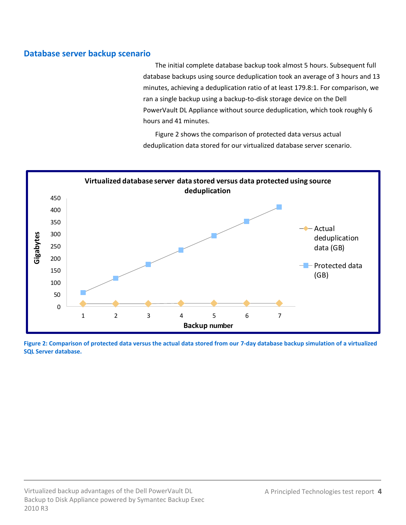## **Database server backup scenario**

The initial complete database backup took almost 5 hours. Subsequent full database backups using source deduplication took an average of 3 hours and 13 minutes, achieving a deduplication ratio of at least 179.8:1. For comparison, we ran a single backup using a backup-to-disk storage device on the Dell PowerVault DL Appliance without source deduplication, which took roughly 6 hours and 41 minutes.

Figure 2 shows the comparison of protected data versus actual deduplication data stored for our virtualized database server scenario.



**Figure 2: Comparison of protected data versus the actual data stored from our 7-day database backup simulation of a virtualized SQL Server database.**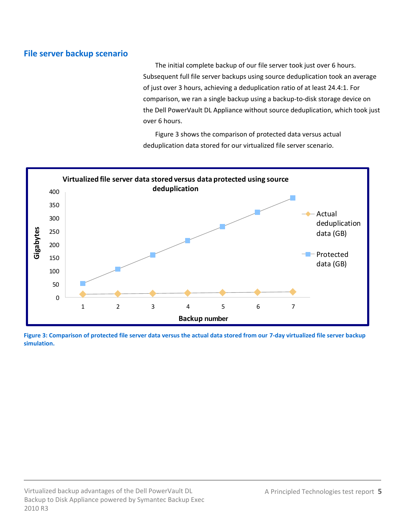## **File server backup scenario**

The initial complete backup of our file server took just over 6 hours. Subsequent full file server backups using source deduplication took an average of just over 3 hours, achieving a deduplication ratio of at least 24.4:1. For comparison, we ran a single backup using a backup-to-disk storage device on the Dell PowerVault DL Appliance without source deduplication, which took just over 6 hours.

Figure 3 shows the comparison of protected data versus actual deduplication data stored for our virtualized file server scenario.



**Figure 3: Comparison of protected file server data versus the actual data stored from our 7-day virtualized file server backup simulation.**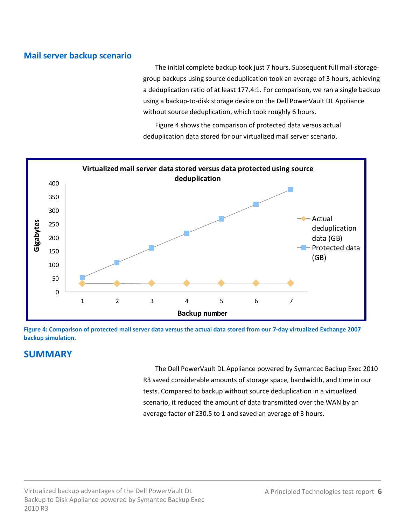## **Mail server backup scenario**

The initial complete backup took just 7 hours. Subsequent full mail-storagegroup backups using source deduplication took an average of 3 hours, achieving a deduplication ratio of at least 177.4:1. For comparison, we ran a single backup using a backup-to-disk storage device on the Dell PowerVault DL Appliance without source deduplication, which took roughly 6 hours.

Figure 4 shows the comparison of protected data versus actual deduplication data stored for our virtualized mail server scenario.



**Figure 4: Comparison of protected mail server data versus the actual data stored from our 7-day virtualized Exchange 2007 backup simulation.**

# **SUMMARY**

The Dell PowerVault DL Appliance powered by Symantec Backup Exec 2010 R3 saved considerable amounts of storage space, bandwidth, and time in our tests. Compared to backup without source deduplication in a virtualized scenario, it reduced the amount of data transmitted over the WAN by an average factor of 230.5 to 1 and saved an average of 3 hours.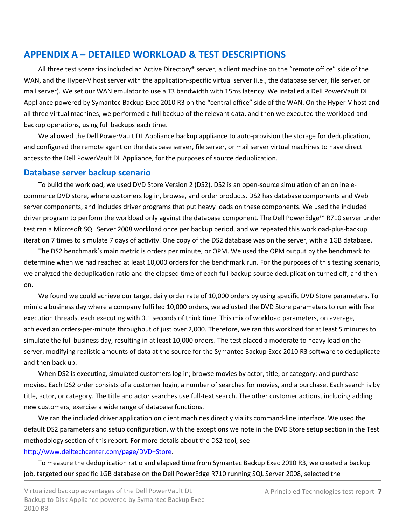# **APPENDIX A – DETAILED WORKLOAD & TEST DESCRIPTIONS**

All three test scenarios included an Active Directory® server, a client machine on the "remote office" side of the WAN, and the Hyper-V host server with the application-specific virtual server (i.e., the database server, file server, or mail server). We set our WAN emulator to use a T3 bandwidth with 15ms latency. We installed a Dell PowerVault DL Appliance powered by Symantec Backup Exec 2010 R3 on the "central office" side of the WAN. On the Hyper-V host and all three virtual machines, we performed a full backup of the relevant data, and then we executed the workload and backup operations, using full backups each time.

We allowed the Dell PowerVault DL Appliance backup appliance to auto-provision the storage for deduplication, and configured the remote agent on the database server, file server, or mail server virtual machines to have direct access to the Dell PowerVault DL Appliance, for the purposes of source deduplication.

## **Database server backup scenario**

To build the workload, we used DVD Store Version 2 (DS2). DS2 is an open-source simulation of an online ecommerce DVD store, where customers log in, browse, and order products. DS2 has database components and Web server components, and includes driver programs that put heavy loads on these components. We used the included driver program to perform the workload only against the database component. The Dell PowerEdge™ R710 server under test ran a Microsoft SQL Server 2008 workload once per backup period, and we repeated this workload-plus-backup iteration 7 times to simulate 7 days of activity. One copy of the DS2 database was on the server, with a 1GB database.

The DS2 benchmark's main metric is orders per minute, or OPM. We used the OPM output by the benchmark to determine when we had reached at least 10,000 orders for the benchmark run. For the purposes of this testing scenario, we analyzed the deduplication ratio and the elapsed time of each full backup source deduplication turned off, and then on.

We found we could achieve our target daily order rate of 10,000 orders by using specific DVD Store parameters. To mimic a business day where a company fulfilled 10,000 orders, we adjusted the DVD Store parameters to run with five execution threads, each executing with 0.1 seconds of think time. This mix of workload parameters, on average, achieved an orders-per-minute throughput of just over 2,000. Therefore, we ran this workload for at least 5 minutes to simulate the full business day, resulting in at least 10,000 orders. The test placed a moderate to heavy load on the server, modifying realistic amounts of data at the source for the Symantec Backup Exec 2010 R3 software to deduplicate and then back up.

When DS2 is executing, simulated customers log in; browse movies by actor, title, or category; and purchase movies. Each DS2 order consists of a customer login, a number of searches for movies, and a purchase. Each search is by title, actor, or category. The title and actor searches use full-text search. The other customer actions, including adding new customers, exercise a wide range of database functions.

We ran the included driver application on client machines directly via its command-line interface. We used the default DS2 parameters and setup configuration, with the exceptions we note in the DVD Store setup section in the Test methodology section of this report. For more details about the DS2 tool, see

#### [http://www.delltechcenter.com/page/DVD+Store.](http://www.delltechcenter.com/page/DVD+Store)

To measure the deduplication ratio and elapsed time from Symantec Backup Exec 2010 R3, we created a backup job, targeted our specific 1GB database on the Dell PowerEdge R710 running SQL Server 2008, selected the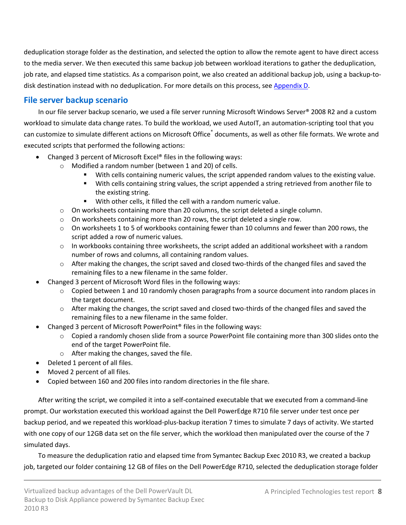deduplication storage folder as the destination, and selected the option to allow the remote agent to have direct access to the media server. We then executed this same backup job between workload iterations to gather the deduplication, job rate, and elapsed time statistics. As a comparison point, we also created an additional backup job, using a backup-todisk destination instead with no deduplication. For more details on this process, see [Appendix D.](#page-13-0)

## **File server backup scenario**

In our file server backup scenario, we used a file server running Microsoft Windows Server® 2008 R2 and a custom workload to simulate data change rates. To build the workload, we used AutoIT, an automation-scripting tool that you can customize to simulate different actions on Microsoft Office<sup>®</sup> documents, as well as other file formats. We wrote and executed scripts that performed the following actions:

- Changed 3 percent of Microsoft Excel® files in the following ways:
	- o Modified a random number (between 1 and 20) of cells.
		- With cells containing numeric values, the script appended random values to the existing value.
		- With cells containing string values, the script appended a string retrieved from another file to the existing string.
		- With other cells, it filled the cell with a random numeric value.
	- $\circ$  On worksheets containing more than 20 columns, the script deleted a single column.
	- $\circ$  On worksheets containing more than 20 rows, the script deleted a single row.
	- o On worksheets 1 to 5 of workbooks containing fewer than 10 columns and fewer than 200 rows, the script added a row of numeric values.
	- $\circ$  In workbooks containing three worksheets, the script added an additional worksheet with a random number of rows and columns, all containing random values.
	- $\circ$  After making the changes, the script saved and closed two-thirds of the changed files and saved the remaining files to a new filename in the same folder.
	- Changed 3 percent of Microsoft Word files in the following ways:
		- o Copied between 1 and 10 randomly chosen paragraphs from a source document into random places in the target document.
		- o After making the changes, the script saved and closed two-thirds of the changed files and saved the remaining files to a new filename in the same folder.
	- Changed 3 percent of Microsoft PowerPoint® files in the following ways:
		- o Copied a randomly chosen slide from a source PowerPoint file containing more than 300 slides onto the end of the target PowerPoint file.
		- o After making the changes, saved the file.
- Deleted 1 percent of all files.
- Moved 2 percent of all files.
- Copied between 160 and 200 files into random directories in the file share.

After writing the script, we compiled it into a self-contained executable that we executed from a command-line prompt. Our workstation executed this workload against the Dell PowerEdge R710 file server under test once per backup period, and we repeated this workload-plus-backup iteration 7 times to simulate 7 days of activity. We started with one copy of our 12GB data set on the file server, which the workload then manipulated over the course of the 7 simulated days.

To measure the deduplication ratio and elapsed time from Symantec Backup Exec 2010 R3, we created a backup job, targeted our folder containing 12 GB of files on the Dell PowerEdge R710, selected the deduplication storage folder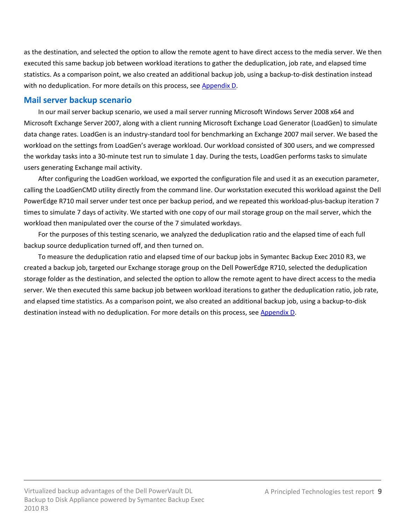as the destination, and selected the option to allow the remote agent to have direct access to the media server. We then executed this same backup job between workload iterations to gather the deduplication, job rate, and elapsed time statistics. As a comparison point, we also created an additional backup job, using a backup-to-disk destination instead with no deduplication. For more details on this process, se[e Appendix D.](#page-13-0)

## **Mail server backup scenario**

In our mail server backup scenario, we used a mail server running Microsoft Windows Server 2008 x64 and Microsoft Exchange Server 2007, along with a client running Microsoft Exchange Load Generator (LoadGen) to simulate data change rates. LoadGen is an industry-standard tool for benchmarking an Exchange 2007 mail server. We based the workload on the settings from LoadGen's average workload. Our workload consisted of 300 users, and we compressed the workday tasks into a 30-minute test run to simulate 1 day. During the tests, LoadGen performs tasks to simulate users generating Exchange mail activity.

After configuring the LoadGen workload, we exported the configuration file and used it as an execution parameter, calling the LoadGenCMD utility directly from the command line. Our workstation executed this workload against the Dell PowerEdge R710 mail server under test once per backup period, and we repeated this workload-plus-backup iteration 7 times to simulate 7 days of activity. We started with one copy of our mail storage group on the mail server, which the workload then manipulated over the course of the 7 simulated workdays.

For the purposes of this testing scenario, we analyzed the deduplication ratio and the elapsed time of each full backup source deduplication turned off, and then turned on.

To measure the deduplication ratio and elapsed time of our backup jobs in Symantec Backup Exec 2010 R3, we created a backup job, targeted our Exchange storage group on the Dell PowerEdge R710, selected the deduplication storage folder as the destination, and selected the option to allow the remote agent to have direct access to the media server. We then executed this same backup job between workload iterations to gather the deduplication ratio, job rate, and elapsed time statistics. As a comparison point, we also created an additional backup job, using a backup-to-disk destination instead with no deduplication. For more details on this process, see [Appendix D.](#page-13-0)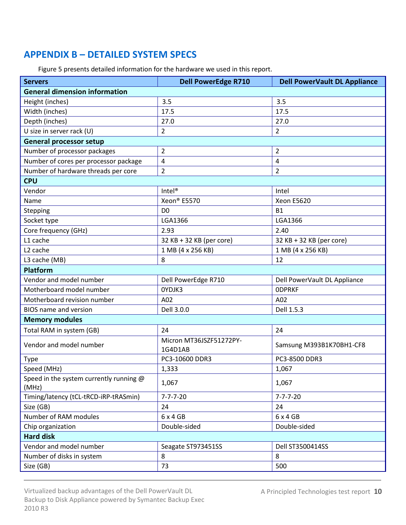# <span id="page-9-0"></span>**APPENDIX B – DETAILED SYSTEM SPECS**

| Figure 5 presents detailed information for the hardware we used in this report. |  |
|---------------------------------------------------------------------------------|--|
|---------------------------------------------------------------------------------|--|

| <b>General dimension information</b><br>3.5<br>Height (inches)<br>3.5<br>Width (inches)<br>17.5<br>17.5<br>Depth (inches)<br>27.0<br>27.0<br>U size in server rack (U)<br>$\overline{2}$<br>2<br><b>General processor setup</b><br>Number of processor packages<br>2<br>$\overline{2}$<br>Number of cores per processor package<br>4<br>4<br>Number of hardware threads per core<br>2<br>$\overline{2}$<br><b>CPU</b><br>Vendor<br>Intel <sup>®</sup><br>Intel<br>Xeon® E5570<br>Xeon E5620<br>Name<br>Stepping<br>D <sub>0</sub><br><b>B1</b><br>LGA1366<br>LGA1366<br>Socket type<br>Core frequency (GHz)<br>2.93<br>2.40<br>L1 cache<br>32 KB + 32 KB (per core)<br>32 KB + 32 KB (per core)<br>L <sub>2</sub> cache<br>1 MB (4 x 256 KB)<br>1 MB (4 x 256 KB)<br>L3 cache (MB)<br>12<br>8<br>Platform<br>Vendor and model number<br>Dell PowerEdge R710<br>Dell PowerVault DL Appliance<br>Motherboard model number<br>OYDJK3<br><b>ODPRKF</b><br>Motherboard revision number<br>A02<br>A02<br>Dell 3.0.0<br>Dell 1.5.3<br><b>BIOS</b> name and version<br><b>Memory modules</b><br>Total RAM in system (GB)<br>24<br>24<br>Micron MT36JSZF51272PY-<br>Vendor and model number<br>Samsung M393B1K70BH1-CF8<br>1G4D1AB<br>PC3-10600 DDR3<br>PC3-8500 DDR3<br><b>Type</b><br>Speed (MHz)<br>1,333<br>1,067<br>Speed in the system currently running @<br>1,067<br>1,067<br>(MHz)<br>Timing/latency (tCL-tRCD-iRP-tRASmin)<br>$7 - 7 - 7 - 20$<br>$7 - 7 - 7 - 20$<br>Size (GB)<br>24<br>24<br>Number of RAM modules<br>$6 \times 4$ GB<br>6x4GB<br>Chip organization<br>Double-sided<br>Double-sided<br><b>Hard disk</b><br>Vendor and model number<br>Seagate ST973451SS<br>Dell ST3500414SS<br>Number of disks in system<br>8<br>8 | <b>Servers</b> | <b>Dell PowerEdge R710</b> | <b>Dell PowerVault DL Appliance</b> |  |
|----------------------------------------------------------------------------------------------------------------------------------------------------------------------------------------------------------------------------------------------------------------------------------------------------------------------------------------------------------------------------------------------------------------------------------------------------------------------------------------------------------------------------------------------------------------------------------------------------------------------------------------------------------------------------------------------------------------------------------------------------------------------------------------------------------------------------------------------------------------------------------------------------------------------------------------------------------------------------------------------------------------------------------------------------------------------------------------------------------------------------------------------------------------------------------------------------------------------------------------------------------------------------------------------------------------------------------------------------------------------------------------------------------------------------------------------------------------------------------------------------------------------------------------------------------------------------------------------------------------------------------------------------------------------------------------------------------------------------------------|----------------|----------------------------|-------------------------------------|--|
|                                                                                                                                                                                                                                                                                                                                                                                                                                                                                                                                                                                                                                                                                                                                                                                                                                                                                                                                                                                                                                                                                                                                                                                                                                                                                                                                                                                                                                                                                                                                                                                                                                                                                                                                        |                |                            |                                     |  |
|                                                                                                                                                                                                                                                                                                                                                                                                                                                                                                                                                                                                                                                                                                                                                                                                                                                                                                                                                                                                                                                                                                                                                                                                                                                                                                                                                                                                                                                                                                                                                                                                                                                                                                                                        |                |                            |                                     |  |
|                                                                                                                                                                                                                                                                                                                                                                                                                                                                                                                                                                                                                                                                                                                                                                                                                                                                                                                                                                                                                                                                                                                                                                                                                                                                                                                                                                                                                                                                                                                                                                                                                                                                                                                                        |                |                            |                                     |  |
|                                                                                                                                                                                                                                                                                                                                                                                                                                                                                                                                                                                                                                                                                                                                                                                                                                                                                                                                                                                                                                                                                                                                                                                                                                                                                                                                                                                                                                                                                                                                                                                                                                                                                                                                        |                |                            |                                     |  |
|                                                                                                                                                                                                                                                                                                                                                                                                                                                                                                                                                                                                                                                                                                                                                                                                                                                                                                                                                                                                                                                                                                                                                                                                                                                                                                                                                                                                                                                                                                                                                                                                                                                                                                                                        |                |                            |                                     |  |
|                                                                                                                                                                                                                                                                                                                                                                                                                                                                                                                                                                                                                                                                                                                                                                                                                                                                                                                                                                                                                                                                                                                                                                                                                                                                                                                                                                                                                                                                                                                                                                                                                                                                                                                                        |                |                            |                                     |  |
|                                                                                                                                                                                                                                                                                                                                                                                                                                                                                                                                                                                                                                                                                                                                                                                                                                                                                                                                                                                                                                                                                                                                                                                                                                                                                                                                                                                                                                                                                                                                                                                                                                                                                                                                        |                |                            |                                     |  |
|                                                                                                                                                                                                                                                                                                                                                                                                                                                                                                                                                                                                                                                                                                                                                                                                                                                                                                                                                                                                                                                                                                                                                                                                                                                                                                                                                                                                                                                                                                                                                                                                                                                                                                                                        |                |                            |                                     |  |
|                                                                                                                                                                                                                                                                                                                                                                                                                                                                                                                                                                                                                                                                                                                                                                                                                                                                                                                                                                                                                                                                                                                                                                                                                                                                                                                                                                                                                                                                                                                                                                                                                                                                                                                                        |                |                            |                                     |  |
|                                                                                                                                                                                                                                                                                                                                                                                                                                                                                                                                                                                                                                                                                                                                                                                                                                                                                                                                                                                                                                                                                                                                                                                                                                                                                                                                                                                                                                                                                                                                                                                                                                                                                                                                        |                |                            |                                     |  |
|                                                                                                                                                                                                                                                                                                                                                                                                                                                                                                                                                                                                                                                                                                                                                                                                                                                                                                                                                                                                                                                                                                                                                                                                                                                                                                                                                                                                                                                                                                                                                                                                                                                                                                                                        |                |                            |                                     |  |
|                                                                                                                                                                                                                                                                                                                                                                                                                                                                                                                                                                                                                                                                                                                                                                                                                                                                                                                                                                                                                                                                                                                                                                                                                                                                                                                                                                                                                                                                                                                                                                                                                                                                                                                                        |                |                            |                                     |  |
|                                                                                                                                                                                                                                                                                                                                                                                                                                                                                                                                                                                                                                                                                                                                                                                                                                                                                                                                                                                                                                                                                                                                                                                                                                                                                                                                                                                                                                                                                                                                                                                                                                                                                                                                        |                |                            |                                     |  |
|                                                                                                                                                                                                                                                                                                                                                                                                                                                                                                                                                                                                                                                                                                                                                                                                                                                                                                                                                                                                                                                                                                                                                                                                                                                                                                                                                                                                                                                                                                                                                                                                                                                                                                                                        |                |                            |                                     |  |
|                                                                                                                                                                                                                                                                                                                                                                                                                                                                                                                                                                                                                                                                                                                                                                                                                                                                                                                                                                                                                                                                                                                                                                                                                                                                                                                                                                                                                                                                                                                                                                                                                                                                                                                                        |                |                            |                                     |  |
|                                                                                                                                                                                                                                                                                                                                                                                                                                                                                                                                                                                                                                                                                                                                                                                                                                                                                                                                                                                                                                                                                                                                                                                                                                                                                                                                                                                                                                                                                                                                                                                                                                                                                                                                        |                |                            |                                     |  |
|                                                                                                                                                                                                                                                                                                                                                                                                                                                                                                                                                                                                                                                                                                                                                                                                                                                                                                                                                                                                                                                                                                                                                                                                                                                                                                                                                                                                                                                                                                                                                                                                                                                                                                                                        |                |                            |                                     |  |
|                                                                                                                                                                                                                                                                                                                                                                                                                                                                                                                                                                                                                                                                                                                                                                                                                                                                                                                                                                                                                                                                                                                                                                                                                                                                                                                                                                                                                                                                                                                                                                                                                                                                                                                                        |                |                            |                                     |  |
|                                                                                                                                                                                                                                                                                                                                                                                                                                                                                                                                                                                                                                                                                                                                                                                                                                                                                                                                                                                                                                                                                                                                                                                                                                                                                                                                                                                                                                                                                                                                                                                                                                                                                                                                        |                |                            |                                     |  |
|                                                                                                                                                                                                                                                                                                                                                                                                                                                                                                                                                                                                                                                                                                                                                                                                                                                                                                                                                                                                                                                                                                                                                                                                                                                                                                                                                                                                                                                                                                                                                                                                                                                                                                                                        |                |                            |                                     |  |
|                                                                                                                                                                                                                                                                                                                                                                                                                                                                                                                                                                                                                                                                                                                                                                                                                                                                                                                                                                                                                                                                                                                                                                                                                                                                                                                                                                                                                                                                                                                                                                                                                                                                                                                                        |                |                            |                                     |  |
|                                                                                                                                                                                                                                                                                                                                                                                                                                                                                                                                                                                                                                                                                                                                                                                                                                                                                                                                                                                                                                                                                                                                                                                                                                                                                                                                                                                                                                                                                                                                                                                                                                                                                                                                        |                |                            |                                     |  |
|                                                                                                                                                                                                                                                                                                                                                                                                                                                                                                                                                                                                                                                                                                                                                                                                                                                                                                                                                                                                                                                                                                                                                                                                                                                                                                                                                                                                                                                                                                                                                                                                                                                                                                                                        |                |                            |                                     |  |
|                                                                                                                                                                                                                                                                                                                                                                                                                                                                                                                                                                                                                                                                                                                                                                                                                                                                                                                                                                                                                                                                                                                                                                                                                                                                                                                                                                                                                                                                                                                                                                                                                                                                                                                                        |                |                            |                                     |  |
|                                                                                                                                                                                                                                                                                                                                                                                                                                                                                                                                                                                                                                                                                                                                                                                                                                                                                                                                                                                                                                                                                                                                                                                                                                                                                                                                                                                                                                                                                                                                                                                                                                                                                                                                        |                |                            |                                     |  |
|                                                                                                                                                                                                                                                                                                                                                                                                                                                                                                                                                                                                                                                                                                                                                                                                                                                                                                                                                                                                                                                                                                                                                                                                                                                                                                                                                                                                                                                                                                                                                                                                                                                                                                                                        |                |                            |                                     |  |
|                                                                                                                                                                                                                                                                                                                                                                                                                                                                                                                                                                                                                                                                                                                                                                                                                                                                                                                                                                                                                                                                                                                                                                                                                                                                                                                                                                                                                                                                                                                                                                                                                                                                                                                                        |                |                            |                                     |  |
|                                                                                                                                                                                                                                                                                                                                                                                                                                                                                                                                                                                                                                                                                                                                                                                                                                                                                                                                                                                                                                                                                                                                                                                                                                                                                                                                                                                                                                                                                                                                                                                                                                                                                                                                        |                |                            |                                     |  |
|                                                                                                                                                                                                                                                                                                                                                                                                                                                                                                                                                                                                                                                                                                                                                                                                                                                                                                                                                                                                                                                                                                                                                                                                                                                                                                                                                                                                                                                                                                                                                                                                                                                                                                                                        |                |                            |                                     |  |
|                                                                                                                                                                                                                                                                                                                                                                                                                                                                                                                                                                                                                                                                                                                                                                                                                                                                                                                                                                                                                                                                                                                                                                                                                                                                                                                                                                                                                                                                                                                                                                                                                                                                                                                                        |                |                            |                                     |  |
|                                                                                                                                                                                                                                                                                                                                                                                                                                                                                                                                                                                                                                                                                                                                                                                                                                                                                                                                                                                                                                                                                                                                                                                                                                                                                                                                                                                                                                                                                                                                                                                                                                                                                                                                        |                |                            |                                     |  |
|                                                                                                                                                                                                                                                                                                                                                                                                                                                                                                                                                                                                                                                                                                                                                                                                                                                                                                                                                                                                                                                                                                                                                                                                                                                                                                                                                                                                                                                                                                                                                                                                                                                                                                                                        |                |                            |                                     |  |
|                                                                                                                                                                                                                                                                                                                                                                                                                                                                                                                                                                                                                                                                                                                                                                                                                                                                                                                                                                                                                                                                                                                                                                                                                                                                                                                                                                                                                                                                                                                                                                                                                                                                                                                                        |                |                            |                                     |  |
|                                                                                                                                                                                                                                                                                                                                                                                                                                                                                                                                                                                                                                                                                                                                                                                                                                                                                                                                                                                                                                                                                                                                                                                                                                                                                                                                                                                                                                                                                                                                                                                                                                                                                                                                        |                |                            |                                     |  |
|                                                                                                                                                                                                                                                                                                                                                                                                                                                                                                                                                                                                                                                                                                                                                                                                                                                                                                                                                                                                                                                                                                                                                                                                                                                                                                                                                                                                                                                                                                                                                                                                                                                                                                                                        |                |                            |                                     |  |
|                                                                                                                                                                                                                                                                                                                                                                                                                                                                                                                                                                                                                                                                                                                                                                                                                                                                                                                                                                                                                                                                                                                                                                                                                                                                                                                                                                                                                                                                                                                                                                                                                                                                                                                                        |                |                            |                                     |  |
|                                                                                                                                                                                                                                                                                                                                                                                                                                                                                                                                                                                                                                                                                                                                                                                                                                                                                                                                                                                                                                                                                                                                                                                                                                                                                                                                                                                                                                                                                                                                                                                                                                                                                                                                        | Size (GB)      | 73                         | 500                                 |  |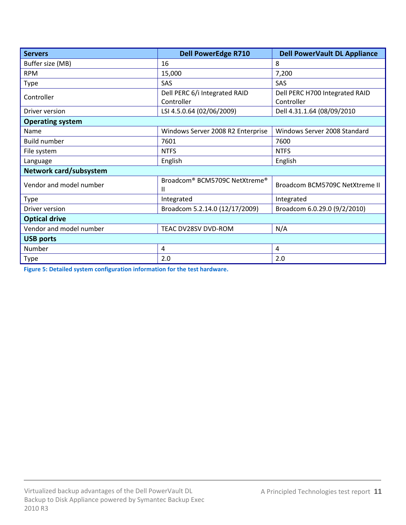| <b>Servers</b>          | <b>Dell PowerEdge R710</b><br><b>Dell PowerVault DL Appliance</b> |                                |
|-------------------------|-------------------------------------------------------------------|--------------------------------|
| Buffer size (MB)        | 16<br>8                                                           |                                |
| <b>RPM</b>              | 15,000                                                            | 7,200                          |
| Type                    | <b>SAS</b>                                                        | <b>SAS</b>                     |
| Controller              | Dell PERC 6/i Integrated RAID                                     | Dell PERC H700 Integrated RAID |
|                         | Controller                                                        | Controller                     |
| Driver version          | LSI 4.5.0.64 (02/06/2009)                                         | Dell 4.31.1.64 (08/09/2010     |
| <b>Operating system</b> |                                                                   |                                |
| Name                    | Windows Server 2008 R2 Enterprise                                 | Windows Server 2008 Standard   |
| <b>Build number</b>     | 7601                                                              | 7600                           |
| File system             | <b>NTFS</b>                                                       | <b>NTFS</b>                    |
| Language                | English                                                           | English                        |
| Network card/subsystem  |                                                                   |                                |
| Vendor and model number | Broadcom <sup>®</sup> BCM5709C NetXtreme <sup>®</sup><br>Ш        | Broadcom BCM5709C NetXtreme II |
| <b>Type</b>             | Integrated                                                        | Integrated                     |
| Driver version          | Broadcom 5.2.14.0 (12/17/2009)                                    | Broadcom 6.0.29.0 (9/2/2010)   |
| <b>Optical drive</b>    |                                                                   |                                |
| Vendor and model number | TEAC DV28SV DVD-ROM                                               | N/A                            |
| <b>USB ports</b>        |                                                                   |                                |
| Number                  | 4                                                                 | 4                              |
| <b>Type</b>             | 2.0                                                               | 2.0                            |

**Figure 5: Detailed system configuration information for the test hardware.**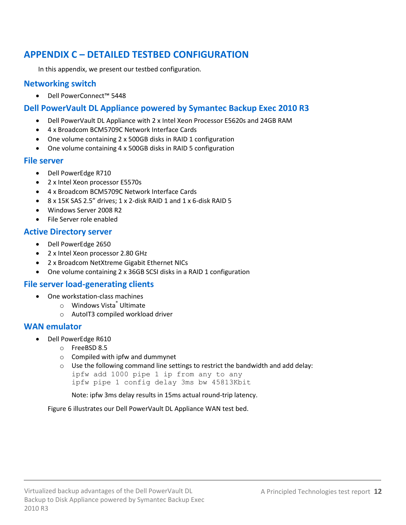# <span id="page-11-0"></span>**APPENDIX C – DETAILED TESTBED CONFIGURATION**

In this appendix, we present our testbed configuration.

## **Networking switch**

Dell PowerConnect™ 5448

## **Dell PowerVault DL Appliance powered by Symantec Backup Exec 2010 R3**

- Dell PowerVault DL Appliance with 2 x Intel Xeon Processor E5620s and 24GB RAM
- 4 x Broadcom BCM5709C Network Interface Cards
- One volume containing 2 x 500GB disks in RAID 1 configuration
- One volume containing 4 x 500GB disks in RAID 5 configuration

## **File server**

- Dell PowerEdge R710
- 2 x Intel Xeon processor E5570s
- 4 x Broadcom BCM5709C Network Interface Cards
- 8 x 15K SAS 2.5" drives; 1 x 2-disk RAID 1 and 1 x 6-disk RAID 5
- Windows Server 2008 R2
- File Server role enabled

## **Active Directory server**

- Dell PowerEdge 2650
- 2 x Intel Xeon processor 2.80 GHz
- 2 x Broadcom NetXtreme Gigabit Ethernet NICs
- One volume containing 2 x 36GB SCSI disks in a RAID 1 configuration

## **File server load-generating clients**

- One workstation-class machines
	- o Windows Vista® Ultimate
	- o AutoIT3 compiled workload driver

## **WAN emulator**

- Dell PowerEdge R610
	- o FreeBSD 8.5
	- o Compiled with ipfw and dummynet
	- o Use the following command line settings to restrict the bandwidth and add delay:

```
ipfw add 1000 pipe 1 ip from any to any
```
ipfw pipe 1 config delay 3ms bw 45813Kbit

Note: ipfw 3ms delay results in 15ms actual round-trip latency.

Figure 6 illustrates our Dell PowerVault DL Appliance WAN test bed.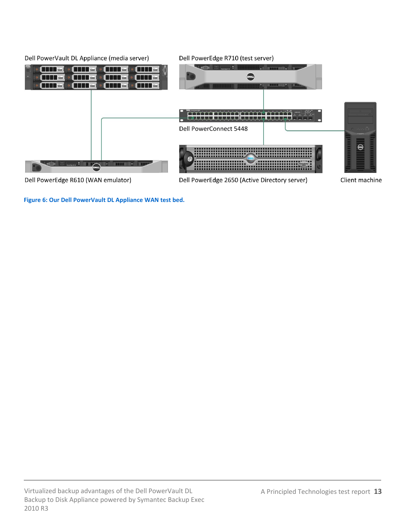

**Figure 6: Our Dell PowerVault DL Appliance WAN test bed.**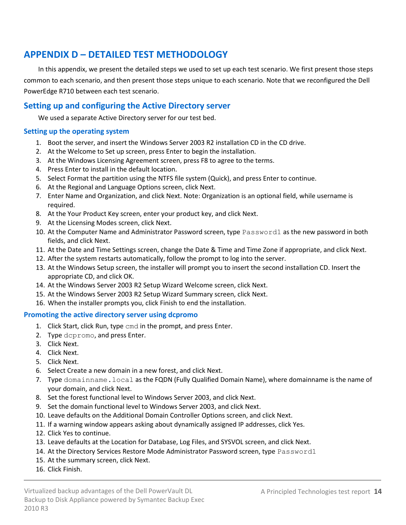# <span id="page-13-0"></span>**APPENDIX D – DETAILED TEST METHODOLOGY**

In this appendix, we present the detailed steps we used to set up each test scenario. We first present those steps common to each scenario, and then present those steps unique to each scenario. Note that we reconfigured the Dell PowerEdge R710 between each test scenario.

## **Setting up and configuring the Active Directory server**

We used a separate Active Directory server for our test bed.

#### **Setting up the operating system**

- 1. Boot the server, and insert the Windows Server 2003 R2 installation CD in the CD drive.
- 2. At the Welcome to Set up screen, press Enter to begin the installation.
- 3. At the Windows Licensing Agreement screen, press F8 to agree to the terms.
- 4. Press Enter to install in the default location.
- 5. Select Format the partition using the NTFS file system (Quick), and press Enter to continue.
- 6. At the Regional and Language Options screen, click Next.
- 7. Enter Name and Organization, and click Next. Note: Organization is an optional field, while username is required.
- 8. At the Your Product Key screen, enter your product key, and click Next.
- 9. At the Licensing Modes screen, click Next.
- 10. At the Computer Name and Administrator Password screen, type Password1 as the new password in both fields, and click Next.
- 11. At the Date and Time Settings screen, change the Date & Time and Time Zone if appropriate, and click Next.
- 12. After the system restarts automatically, follow the prompt to log into the server.
- 13. At the Windows Setup screen, the installer will prompt you to insert the second installation CD. Insert the appropriate CD, and click OK.
- 14. At the Windows Server 2003 R2 Setup Wizard Welcome screen, click Next.
- 15. At the Windows Server 2003 R2 Setup Wizard Summary screen, click Next.
- 16. When the installer prompts you, click Finish to end the installation.

#### **Promoting the active directory server using dcpromo**

- 1. Click Start, click Run, type cmd in the prompt, and press Enter.
- 2. Type dcpromo, and press Enter.
- 3. Click Next.
- 4. Click Next.
- 5. Click Next.
- 6. Select Create a new domain in a new forest, and click Next.
- 7. Type domainname.local as the FQDN (Fully Qualified Domain Name), where domainname is the name of your domain, and click Next.
- 8. Set the forest functional level to Windows Server 2003, and click Next.
- 9. Set the domain functional level to Windows Server 2003, and click Next.
- 10. Leave defaults on the Additional Domain Controller Options screen, and click Next.
- 11. If a warning window appears asking about dynamically assigned IP addresses, click Yes.
- 12. Click Yes to continue.
- 13. Leave defaults at the Location for Database, Log Files, and SYSVOL screen, and click Next.
- 14. At the Directory Services Restore Mode Administrator Password screen, type Password1
- 15. At the summary screen, click Next.
- 16. Click Finish.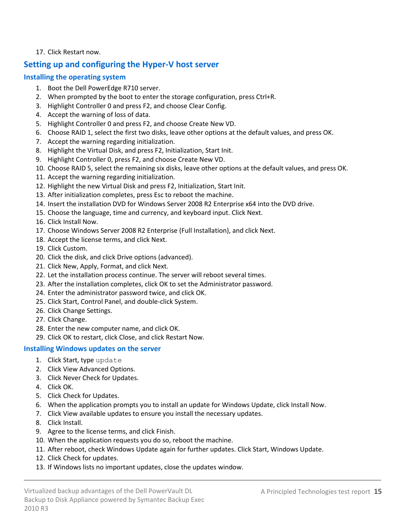### 17. Click Restart now.

## **Setting up and configuring the Hyper-V host server**

### **Installing the operating system**

- 1. Boot the Dell PowerEdge R710 server.
- 2. When prompted by the boot to enter the storage configuration, press Ctrl+R.
- 3. Highlight Controller 0 and press F2, and choose Clear Config.
- 4. Accept the warning of loss of data.
- 5. Highlight Controller 0 and press F2, and choose Create New VD.
- 6. Choose RAID 1, select the first two disks, leave other options at the default values, and press OK.
- 7. Accept the warning regarding initialization.
- 8. Highlight the Virtual Disk, and press F2, Initialization, Start Init.
- 9. Highlight Controller 0, press F2, and choose Create New VD.
- 10. Choose RAID 5, select the remaining six disks, leave other options at the default values, and press OK.
- 11. Accept the warning regarding initialization.
- 12. Highlight the new Virtual Disk and press F2, Initialization, Start Init.
- 13. After initialization completes, press Esc to reboot the machine.
- 14. Insert the installation DVD for Windows Server 2008 R2 Enterprise x64 into the DVD drive.
- 15. Choose the language, time and currency, and keyboard input. Click Next.
- 16. Click Install Now.
- 17. Choose Windows Server 2008 R2 Enterprise (Full Installation), and click Next.
- 18. Accept the license terms, and click Next.
- 19. Click Custom.
- 20. Click the disk, and click Drive options (advanced).
- 21. Click New, Apply, Format, and click Next.
- 22. Let the installation process continue. The server will reboot several times.
- 23. After the installation completes, click OK to set the Administrator password.
- 24. Enter the administrator password twice, and click OK.
- 25. Click Start, Control Panel, and double-click System.
- 26. Click Change Settings.
- 27. Click Change.
- 28. Enter the new computer name, and click OK.
- 29. Click OK to restart, click Close, and click Restart Now.

## **Installing Windows updates on the server**

- 1. Click Start, type update
- 2. Click View Advanced Options.
- 3. Click Never Check for Updates.
- 4. Click OK.
- 5. Click Check for Updates.
- 6. When the application prompts you to install an update for Windows Update, click Install Now.
- 7. Click View available updates to ensure you install the necessary updates.
- 8. Click Install.
- 9. Agree to the license terms, and click Finish.
- 10. When the application requests you do so, reboot the machine.
- 11. After reboot, check Windows Update again for further updates. Click Start, Windows Update.
- 12. Click Check for updates.
- 13. If Windows lists no important updates, close the updates window.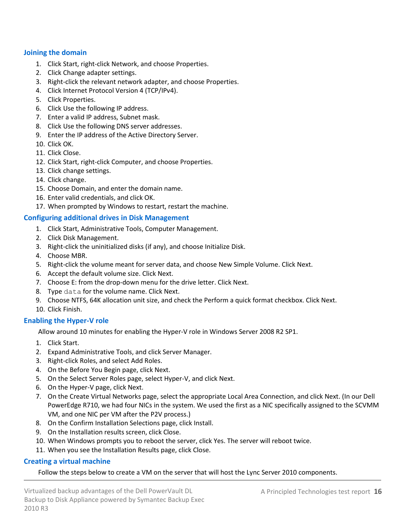### <span id="page-15-0"></span>**Joining the domain**

- 1. Click Start, right-click Network, and choose Properties.
- 2. Click Change adapter settings.
- 3. Right-click the relevant network adapter, and choose Properties.
- 4. Click Internet Protocol Version 4 (TCP/IPv4).
- 5. Click Properties.
- 6. Click Use the following IP address.
- 7. Enter a valid IP address, Subnet mask.
- 8. Click Use the following DNS server addresses.
- 9. Enter the IP address of the Active Directory Server.
- 10. Click OK.
- 11. Click Close.
- 12. Click Start, right-click Computer, and choose Properties.
- 13. Click change settings.
- 14. Click change.
- 15. Choose Domain, and enter the domain name.
- 16. Enter valid credentials, and click OK.
- 17. When prompted by Windows to restart, restart the machine.

#### <span id="page-15-1"></span>**Configuring additional drives in Disk Management**

- 1. Click Start, Administrative Tools, Computer Management.
- 2. Click Disk Management.
- 3. Right-click the uninitialized disks (if any), and choose Initialize Disk.
- 4. Choose MBR.
- 5. Right-click the volume meant for server data, and choose New Simple Volume. Click Next.
- 6. Accept the default volume size. Click Next.
- 7. Choose E: from the drop-down menu for the drive letter. Click Next.
- 8. Type data for the volume name. Click Next.
- 9. Choose NTFS, 64K allocation unit size, and check the Perform a quick format checkbox. Click Next.
- 10. Click Finish.

### **Enabling the Hyper-V role**

Allow around 10 minutes for enabling the Hyper-V role in Windows Server 2008 R2 SP1.

- 1. Click Start.
- 2. Expand Administrative Tools, and click Server Manager.
- 3. Right-click Roles, and select Add Roles.
- 4. On the Before You Begin page, click Next.
- 5. On the Select Server Roles page, select Hyper-V, and click Next.
- 6. On the Hyper-V page, click Next.
- 7. On the Create Virtual Networks page, select the appropriate Local Area Connection, and click Next. (In our Dell PowerEdge R710, we had four NICs in the system. We used the first as a NIC specifically assigned to the SCVMM VM, and one NIC per VM after the P2V process.)
- 8. On the Confirm Installation Selections page, click Install.
- 9. On the Installation results screen, click Close.
- 10. When Windows prompts you to reboot the server, click Yes. The server will reboot twice.
- 11. When you see the Installation Results page, click Close.

### **Creating a virtual machine**

Follow the steps below to create a VM on the server that will host the Lync Server 2010 components.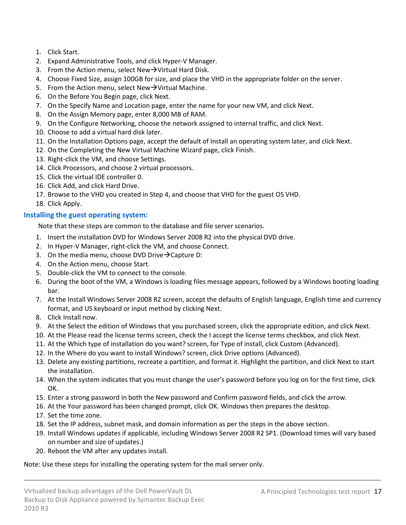- 1. Click Start.
- 2. Expand Administrative Tools, and click Hyper-V Manager.
- 3. From the Action menu, select New $\rightarrow$ Virtual Hard Disk.
- 4. Choose Fixed Size, assign 100GB for size, and place the VHD in the appropriate folder on the server.
- 5. From the Action menu, select New $\rightarrow$ Virtual Machine.
- 6. On the Before You Begin page, click Next.
- 7. On the Specify Name and Location page, enter the name for your new VM, and click Next.
- 8. On the Assign Memory page, enter 8,000 MB of RAM.
- 9. On the Configure Networking, choose the network assigned to internal traffic, and click Next.
- 10. Choose to add a virtual hard disk later.
- 11. On the Installation Options page, accept the default of Install an operating system later, and click Next.
- 12. On the Completing the New Virtual Machine Wizard page, click Finish.
- 13. Right-click the VM, and choose Settings.
- 14. Click Processors, and choose 2 virtual processors.
- 15. Click the virtual IDE controller 0.
- 16. Click Add, and click Hard Drive.
- 17. Browse to the VHD you created in Step 4, and choose that VHD for the guest OS VHD.
- 18. Click Apply.

## **Installing the guest operating system:**

Note that these steps are common to the database and file server scenarios.

- 1. Insert the installation DVD for Windows Server 2008 R2 into the physical DVD drive.
- 2. In Hyper-V Manager, right-click the VM, and choose Connect.
- 3. On the media menu, choose DVD Drive $\rightarrow$ Capture D:
- 4. On the Action menu, choose Start.
- 5. Double-click the VM to connect to the console.
- 6. During the boot of the VM, a Windows is loading files message appears, followed by a Windows booting loading bar.
- 7. At the Install Windows Server 2008 R2 screen, accept the defaults of English language, English time and currency format, and US keyboard or input method by clicking Next.
- 8. Click Install now.
- 9. At the Select the edition of Windows that you purchased screen, click the appropriate edition, and click Next.
- 10. At the Please read the license terms screen, check the I accept the license terms checkbox, and click Next.
- 11. At the Which type of installation do you want? screen, for Type of install, click Custom (Advanced).
- 12. In the Where do you want to install Windows? screen, click Drive options (Advanced).
- 13. Delete any existing partitions, recreate a partition, and format it. Highlight the partition, and click Next to start the installation.
- 14. When the system indicates that you must change the user's password before you log on for the first time, click OK.
- 15. Enter a strong password in both the New password and Confirm password fields, and click the arrow.
- 16. At the Your password has been changed prompt, click OK. Windows then prepares the desktop.
- 17. Set the time zone.
- 18. Set the IP address, subnet mask, and domain information as per the steps in the above section.
- 19. Install Windows updates if applicable, including Windows Server 2008 R2 SP1. (Download times will vary based on number and size of updates.)
- 20. Reboot the VM after any updates install.

### Note: Use these steps for installing the operating system for the mail server only.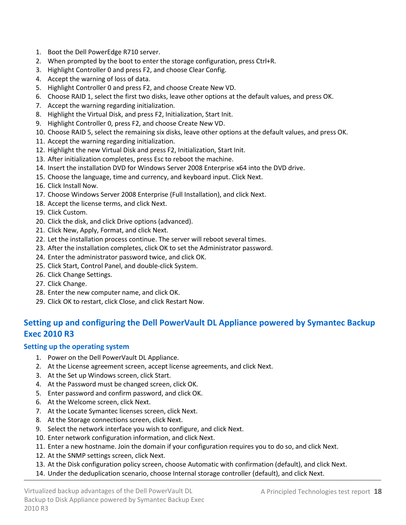- 1. Boot the Dell PowerEdge R710 server.
- 2. When prompted by the boot to enter the storage configuration, press Ctrl+R.
- 3. Highlight Controller 0 and press F2, and choose Clear Config.
- 4. Accept the warning of loss of data.
- 5. Highlight Controller 0 and press F2, and choose Create New VD.
- 6. Choose RAID 1, select the first two disks, leave other options at the default values, and press OK.
- 7. Accept the warning regarding initialization.
- 8. Highlight the Virtual Disk, and press F2, Initialization, Start Init.
- 9. Highlight Controller 0, press F2, and choose Create New VD.
- 10. Choose RAID 5, select the remaining six disks, leave other options at the default values, and press OK.
- 11. Accept the warning regarding initialization.
- 12. Highlight the new Virtual Disk and press F2, Initialization, Start Init.
- 13. After initialization completes, press Esc to reboot the machine.
- 14. Insert the installation DVD for Windows Server 2008 Enterprise x64 into the DVD drive.
- 15. Choose the language, time and currency, and keyboard input. Click Next.
- 16. Click Install Now.
- 17. Choose Windows Server 2008 Enterprise (Full Installation), and click Next.
- 18. Accept the license terms, and click Next.
- 19. Click Custom.
- 20. Click the disk, and click Drive options (advanced).
- 21. Click New, Apply, Format, and click Next.
- 22. Let the installation process continue. The server will reboot several times.
- 23. After the installation completes, click OK to set the Administrator password.
- 24. Enter the administrator password twice, and click OK.
- 25. Click Start, Control Panel, and double-click System.
- 26. Click Change Settings.
- 27. Click Change.
- 28. Enter the new computer name, and click OK.
- 29. Click OK to restart, click Close, and click Restart Now.

# **Setting up and configuring the Dell PowerVault DL Appliance powered by Symantec Backup Exec 2010 R3**

### **Setting up the operating system**

- 1. Power on the Dell PowerVault DL Appliance.
- 2. At the License agreement screen, accept license agreements, and click Next.
- 3. At the Set up Windows screen, click Start.
- 4. At the Password must be changed screen, click OK.
- 5. Enter password and confirm password, and click OK.
- 6. At the Welcome screen, click Next.
- 7. At the Locate Symantec licenses screen, click Next.
- 8. At the Storage connections screen, click Next.
- 9. Select the network interface you wish to configure, and click Next.
- 10. Enter network configuration information, and click Next.
- 11. Enter a new hostname. Join the domain if your configuration requires you to do so, and click Next.
- 12. At the SNMP settings screen, click Next.
- 13. At the Disk configuration policy screen, choose Automatic with confirmation (default), and click Next.
- 14. Under the deduplication scenario, choose Internal storage controller (default), and click Next.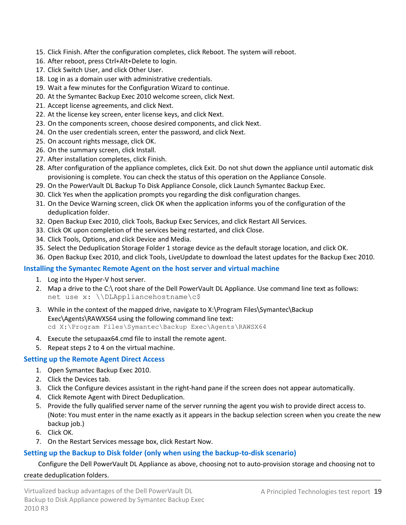- 15. Click Finish. After the configuration completes, click Reboot. The system will reboot.
- 16. After reboot, press Ctrl+Alt+Delete to login.
- 17. Click Switch User, and click Other User.
- 18. Log in as a domain user with administrative credentials.
- 19. Wait a few minutes for the Configuration Wizard to continue.
- 20. At the Symantec Backup Exec 2010 welcome screen, click Next.
- 21. Accept license agreements, and click Next.
- 22. At the license key screen, enter license keys, and click Next.
- 23. On the components screen, choose desired components, and click Next.
- 24. On the user credentials screen, enter the password, and click Next.
- 25. On account rights message, click OK.
- 26. On the summary screen, click Install.
- 27. After installation completes, click Finish.
- 28. After configuration of the appliance completes, click Exit. Do not shut down the appliance until automatic disk provisioning is complete. You can check the status of this operation on the Appliance Console.
- 29. On the PowerVault DL Backup To Disk Appliance Console, click Launch Symantec Backup Exec.
- 30. Click Yes when the application prompts you regarding the disk configuration changes.
- 31. On the Device Warning screen, click OK when the application informs you of the configuration of the deduplication folder.
- 32. Open Backup Exec 2010, click Tools, Backup Exec Services, and click Restart All Services.
- 33. Click OK upon completion of the services being restarted, and click Close.
- 34. Click Tools, Options, and click Device and Media.
- 35. Select the Deduplication Storage Folder 1 storage device as the default storage location, and click OK.
- 36. Open Backup Exec 2010, and click Tools, LiveUpdate to download the latest updates for the Backup Exec 2010.

### **Installing the Symantec Remote Agent on the host server and virtual machine**

- 1. Log into the Hyper-V host server.
- 2. Map a drive to the C:\ root share of the Dell PowerVault DL Appliance. Use command line text as follows: net use x: \\DLAppliancehostname\c\$
- 3. While in the context of the mapped drive, navigate to X:\Program Files\Symantec\Backup Exec\Agents\RAWXS64 using the following command line text: cd X:\Program Files\Symantec\Backup Exec\Agents\RAWSX64
- 4. Execute the setupaax64.cmd file to install the remote agent.
- 5. Repeat steps 2 to 4 on the virtual machine.

### **Setting up the Remote Agent Direct Access**

- 1. Open Symantec Backup Exec 2010.
- 2. Click the Devices tab.
- 3. Click the Configure devices assistant in the right-hand pane if the screen does not appear automatically.
- 4. Click Remote Agent with Direct Deduplication.
- 5. Provide the fully qualified server name of the server running the agent you wish to provide direct access to. (Note: You must enter in the name exactly as it appears in the backup selection screen when you create the new backup job.)
- 6. Click OK.
- 7. On the Restart Services message box, click Restart Now.

### <span id="page-18-0"></span>**Setting up the Backup to Disk folder (only when using the backup-to-disk scenario)**

### Configure the Dell PowerVault DL Appliance as above, choosing not to auto-provision storage and choosing not to

#### create deduplication folders.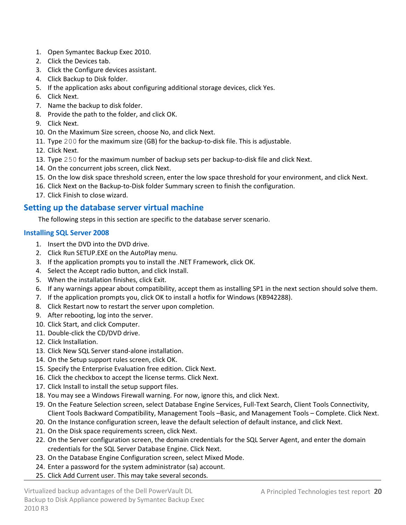- 1. Open Symantec Backup Exec 2010.
- 2. Click the Devices tab.
- 3. Click the Configure devices assistant.
- 4. Click Backup to Disk folder.
- 5. If the application asks about configuring additional storage devices, click Yes.
- 6. Click Next.
- 7. Name the backup to disk folder.
- 8. Provide the path to the folder, and click OK.
- 9. Click Next.
- 10. On the Maximum Size screen, choose No, and click Next.
- 11. Type 200 for the maximum size (GB) for the backup-to-disk file. This is adjustable.
- 12. Click Next.
- 13. Type 250 for the maximum number of backup sets per backup-to-disk file and click Next.
- 14. On the concurrent jobs screen, click Next.
- 15. On the low disk space threshold screen, enter the low space threshold for your environment, and click Next.
- 16. Click Next on the Backup-to-Disk folder Summary screen to finish the configuration.
- 17. Click Finish to close wizard.

## **Setting up the database server virtual machine**

The following steps in this section are specific to the database server scenario.

## **Installing SQL Server 2008**

- 1. Insert the DVD into the DVD drive.
- 2. Click Run SETUP.EXE on the AutoPlay menu.
- 3. If the application prompts you to install the .NET Framework, click OK.
- 4. Select the Accept radio button, and click Install.
- 5. When the installation finishes, click Exit.
- 6. If any warnings appear about compatibility, accept them as installing SP1 in the next section should solve them.
- 7. If the application prompts you, click OK to install a hotfix for Windows (KB942288).
- 8. Click Restart now to restart the server upon completion.
- 9. After rebooting, log into the server.
- 10. Click Start, and click Computer.
- 11. Double-click the CD/DVD drive.
- 12. Click Installation.
- 13. Click New SQL Server stand-alone installation.
- 14. On the Setup support rules screen, click OK.
- 15. Specify the Enterprise Evaluation free edition. Click Next.
- 16. Click the checkbox to accept the license terms. Click Next.
- 17. Click Install to install the setup support files.
- 18. You may see a Windows Firewall warning. For now, ignore this, and click Next.
- 19. On the Feature Selection screen, select Database Engine Services, Full-Text Search, Client Tools Connectivity, Client Tools Backward Compatibility, Management Tools –Basic, and Management Tools – Complete. Click Next.
- 20. On the Instance configuration screen, leave the default selection of default instance, and click Next.
- 21. On the Disk space requirements screen, click Next.
- 22. On the Server configuration screen, the domain credentials for the SQL Server Agent, and enter the domain credentials for the SQL Server Database Engine. Click Next.
- 23. On the Database Engine Configuration screen, select Mixed Mode.
- 24. Enter a password for the system administrator (sa) account.
- 25. Click Add Current user. This may take several seconds.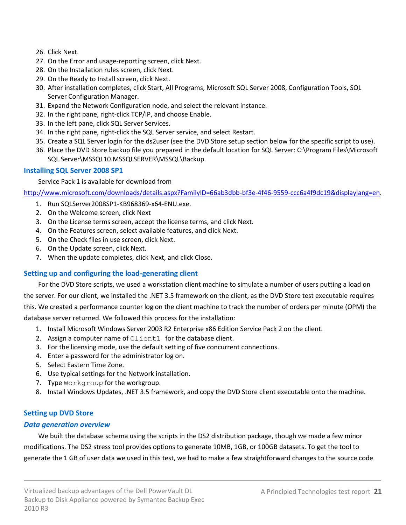- 26. Click Next.
- 27. On the Error and usage-reporting screen, click Next.
- 28. On the Installation rules screen, click Next.
- 29. On the Ready to Install screen, click Next.
- 30. After installation completes, click Start, All Programs, Microsoft SQL Server 2008, Configuration Tools, SQL Server Configuration Manager.
- 31. Expand the Network Configuration node, and select the relevant instance.
- 32. In the right pane, right-click TCP/IP, and choose Enable.
- 33. In the left pane, click SQL Server Services.
- 34. In the right pane, right-click the SQL Server service, and select Restart.
- 35. Create a SQL Server login for the ds2user (see the DVD Store setup section below for the specific script to use).
- 36. Place the DVD Store backup file you prepared in the default location for SQL Server: C:\Program Files\Microsoft SQL Server\MSSQL10.MSSQLSERVER\MSSQL\Backup.

## **Installing SQL Server 2008 SP1**

Service Pack 1 is available for download from

[http://www.microsoft.com/downloads/details.aspx?FamilyID=66ab3dbb-bf3e-4f46-9559-ccc6a4f9dc19&displaylang=en.](http://www.microsoft.com/downloads/details.aspx?FamilyID=66ab3dbb-bf3e-4f46-9559-ccc6a4f9dc19&displaylang=en)

- 1. Run SQLServer2008SP1-KB968369-x64-ENU.exe.
- 2. On the Welcome screen, click Next
- 3. On the License terms screen, accept the license terms, and click Next.
- 4. On the Features screen, select available features, and click Next.
- 5. On the Check files in use screen, click Next.
- 6. On the Update screen, click Next.
- 7. When the update completes, click Next, and click Close.

## **Setting up and configuring the load-generating client**

For the DVD Store scripts, we used a workstation client machine to simulate a number of users putting a load on the server. For our client, we installed the .NET 3.5 framework on the client, as the DVD Store test executable requires this. We created a performance counter log on the client machine to track the number of orders per minute (OPM) the database server returned. We followed this process for the installation:

- 1. Install Microsoft Windows Server 2003 R2 Enterprise x86 Edition Service Pack 2 on the client.
- 2. Assign a computer name of Client1 for the database client.
- 3. For the licensing mode, use the default setting of five concurrent connections.
- 4. Enter a password for the administrator log on.
- 5. Select Eastern Time Zone.
- 6. Use typical settings for the Network installation.
- 7. Type Workgroup for the workgroup.
- 8. Install Windows Updates, .NET 3.5 framework, and copy the DVD Store client executable onto the machine.

## **Setting up DVD Store**

## *Data generation overview*

We built the database schema using the scripts in the DS2 distribution package, though we made a few minor modifications. The DS2 stress tool provides options to generate 10MB, 1GB, or 100GB datasets. To get the tool to generate the 1 GB of user data we used in this test, we had to make a few straightforward changes to the source code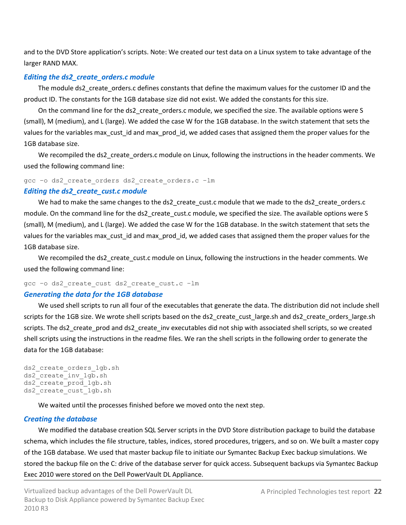and to the DVD Store application's scripts. Note: We created our test data on a Linux system to take advantage of the larger RAND MAX.

## *Editing the ds2\_create\_orders.c module*

The module ds2\_create\_orders.c defines constants that define the maximum values for the customer ID and the product ID. The constants for the 1GB database size did not exist. We added the constants for this size.

On the command line for the ds2\_create\_orders.c module, we specified the size. The available options were S (small), M (medium), and L (large). We added the case W for the 1GB database. In the switch statement that sets the values for the variables max\_cust\_id and max\_prod\_id, we added cases that assigned them the proper values for the 1GB database size.

We recompiled the ds2 create orders.c module on Linux, following the instructions in the header comments. We used the following command line:

gcc –o ds2\_create\_orders ds2\_create\_orders.c –lm

### *Editing the ds2\_create\_cust.c module*

We had to make the same changes to the ds2\_create\_cust.c module that we made to the ds2\_create\_orders.c module. On the command line for the ds2\_create\_cust.c module, we specified the size. The available options were S (small), M (medium), and L (large). We added the case W for the 1GB database. In the switch statement that sets the values for the variables max\_cust\_id and max\_prod\_id, we added cases that assigned them the proper values for the 1GB database size.

We recompiled the ds2\_create\_cust.c module on Linux, following the instructions in the header comments. We used the following command line:

## gcc –o ds2\_create\_cust ds2\_create\_cust.c –lm

### *Generating the data for the 1GB database*

We used shell scripts to run all four of the executables that generate the data. The distribution did not include shell scripts for the 1GB size. We wrote shell scripts based on the ds2\_create\_cust\_large.sh and ds2\_create\_orders\_large.sh scripts. The ds2\_create\_prod and ds2\_create\_inv executables did not ship with associated shell scripts, so we created shell scripts using the instructions in the readme files. We ran the shell scripts in the following order to generate the data for the 1GB database:

```
ds2 create orders 1gb.sh
ds2_create_inv_1gb.sh 
ds2_create_prod_1gb.sh 
ds2 create cust 1gb.sh
```
We waited until the processes finished before we moved onto the next step.

## *Creating the database*

We modified the database creation SQL Server scripts in the DVD Store distribution package to build the database schema, which includes the file structure, tables, indices, stored procedures, triggers, and so on. We built a master copy of the 1GB database. We used that master backup file to initiate our Symantec Backup Exec backup simulations. We stored the backup file on the C: drive of the database server for quick access. Subsequent backups via Symantec Backup Exec 2010 were stored on the Dell PowerVault DL Appliance.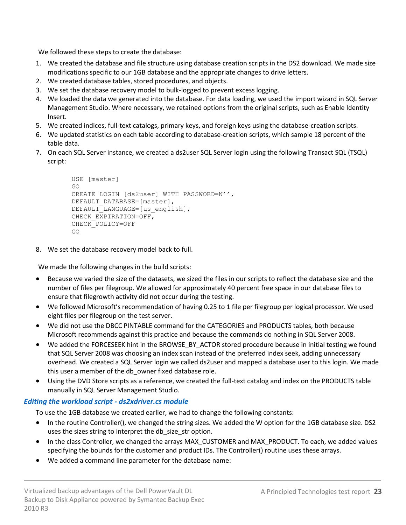We followed these steps to create the database:

- 1. We created the database and file structure using database creation scripts in the DS2 download. We made size modifications specific to our 1GB database and the appropriate changes to drive letters.
- 2. We created database tables, stored procedures, and objects.
- 3. We set the database recovery model to bulk-logged to prevent excess logging.
- 4. We loaded the data we generated into the database. For data loading, we used the import wizard in SQL Server Management Studio. Where necessary, we retained options from the original scripts, such as Enable Identity Insert.
- 5. We created indices, full-text catalogs, primary keys, and foreign keys using the database-creation scripts.
- 6. We updated statistics on each table according to database-creation scripts, which sample 18 percent of the table data.
- 7. On each SQL Server instance, we created a ds2user SQL Server login using the following Transact SQL (TSQL) script:

```
USE [master]
GO
CREATE LOGIN [ds2user] WITH PASSWORD=N'',
DEFAULT_DATABASE=[master],
DEFAULT LANGUAGE=[us english],
CHECK_EXPIRATION=OFF,
CHECK_POLICY=OFF
GO
```
8. We set the database recovery model back to full.

We made the following changes in the build scripts:

- Because we varied the size of the datasets, we sized the files in our scripts to reflect the database size and the number of files per filegroup. We allowed for approximately 40 percent free space in our database files to ensure that filegrowth activity did not occur during the testing.
- We followed Microsoft's recommendation of having 0.25 to 1 file per filegroup per logical processor. We used eight files per filegroup on the test server.
- We did not use the DBCC PINTABLE command for the CATEGORIES and PRODUCTS tables, both because Microsoft recommends against this practice and because the commands do nothing in SQL Server 2008.
- We added the FORCESEEK hint in the BROWSE\_BY\_ACTOR stored procedure because in initial testing we found that SQL Server 2008 was choosing an index scan instead of the preferred index seek, adding unnecessary overhead. We created a SQL Server login we called ds2user and mapped a database user to this login. We made this user a member of the db owner fixed database role.
- Using the DVD Store scripts as a reference, we created the full-text catalog and index on the PRODUCTS table manually in SQL Server Management Studio.

## *Editing the workload script - ds2xdriver.cs module*

To use the 1GB database we created earlier, we had to change the following constants:

- In the routine Controller(), we changed the string sizes. We added the W option for the 1GB database size. DS2 uses the sizes string to interpret the db\_size\_str option.
- In the class Controller, we changed the arrays MAX\_CUSTOMER and MAX\_PRODUCT. To each, we added values specifying the bounds for the customer and product IDs. The Controller() routine uses these arrays.
- We added a command line parameter for the database name: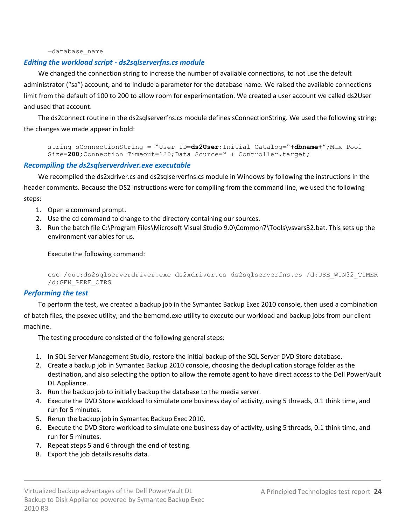#### —database\_name

## *Editing the workload script - ds2sqlserverfns.cs module*

We changed the connection string to increase the number of available connections, to not use the default administrator ("sa") account, and to include a parameter for the database name. We raised the available connections limit from the default of 100 to 200 to allow room for experimentation. We created a user account we called ds2User and used that account.

The ds2connect routine in the ds2sqlserverfns.cs module defines sConnectionString. We used the following string; the changes we made appear in bold:

```
string sConnectionString = "User ID=ds2User; Initial Catalog="+dbname+";Max Pool
Size=200; Connection Timeout=120; Data Source=" + Controller.target;
```
#### *Recompiling the ds2sqlserverdriver.exe executable*

We recompiled the ds2xdriver.cs and ds2sqlserverfns.cs module in Windows by following the instructions in the header comments. Because the DS2 instructions were for compiling from the command line, we used the following steps:

- 1. Open a command prompt.
- 2. Use the cd command to change to the directory containing our sources.
- 3. Run the batch file C:\Program Files\Microsoft Visual Studio 9.0\Common7\Tools\vsvars32.bat. This sets up the environment variables for us.

Execute the following command:

```
csc /out:ds2sqlserverdriver.exe ds2xdriver.cs ds2sqlserverfns.cs /d:USE_WIN32_TIMER 
/d:GEN_PERF_CTRS
```
#### *Performing the test*

To perform the test, we created a backup job in the Symantec Backup Exec 2010 console, then used a combination

of batch files, the psexec utility, and the bemcmd.exe utility to execute our workload and backup jobs from our client machine.

The testing procedure consisted of the following general steps:

- 1. In SQL Server Management Studio, restore the initial backup of the SQL Server DVD Store database.
- 2. Create a backup job in Symantec Backup 2010 console, choosing the deduplication storage folder as the destination, and also selecting the option to allow the remote agent to have direct access to the Dell PowerVault DL Appliance.
- 3. Run the backup job to initially backup the database to the media server.
- 4. Execute the DVD Store workload to simulate one business day of activity, using 5 threads, 0.1 think time, and run for 5 minutes.
- 5. Rerun the backup job in Symantec Backup Exec 2010.
- 6. Execute the DVD Store workload to simulate one business day of activity, using 5 threads, 0.1 think time, and run for 5 minutes.
- 7. Repeat steps 5 and 6 through the end of testing.
- 8. Export the job details results data.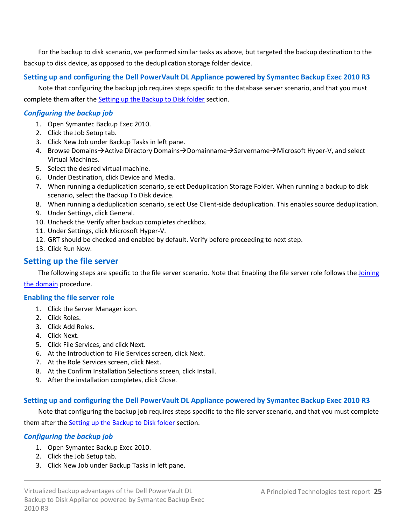For the backup to disk scenario, we performed similar tasks as above, but targeted the backup destination to the backup to disk device, as opposed to the deduplication storage folder device.

## **Setting up and configuring the Dell PowerVault DL Appliance powered by Symantec Backup Exec 2010 R3**

Note that configuring the backup job requires steps specific to the database server scenario, and that you must complete them after the [Setting up the Backup to Disk folder](#page-18-0) section.

## *Configuring the backup job*

- 1. Open Symantec Backup Exec 2010.
- 2. Click the Job Setup tab.
- 3. Click New Job under Backup Tasks in left pane.
- 4. Browse Domains $\rightarrow$ Active Directory Domains $\rightarrow$ Domainname $\rightarrow$ Servername $\rightarrow$ Microsoft Hyper-V, and select Virtual Machines.
- 5. Select the desired virtual machine.
- 6. Under Destination, click Device and Media.
- 7. When running a deduplication scenario, select Deduplication Storage Folder. When running a backup to disk scenario, select the Backup To Disk device.
- 8. When running a deduplication scenario, select Use Client-side deduplication. This enables source deduplication.
- 9. Under Settings, click General.
- 10. Uncheck the Verify after backup completes checkbox.
- 11. Under Settings, click Microsoft Hyper-V.
- 12. GRT should be checked and enabled by default. Verify before proceeding to next step.
- 13. Click Run Now.

## **Setting up the file server**

The following steps are specific to the file server scenario. Note that Enabling the file server role follows the Joining [the domain](#page-15-0) procedure.

### **Enabling the file server role**

- 1. Click the Server Manager icon.
- 2. Click Roles.
- 3. Click Add Roles.
- 4. Click Next.
- 5. Click File Services, and click Next.
- 6. At the Introduction to File Services screen, click Next.
- 7. At the Role Services screen, click Next.
- 8. At the Confirm Installation Selections screen, click Install.
- 9. After the installation completes, click Close.

## **Setting up and configuring the Dell PowerVault DL Appliance powered by Symantec Backup Exec 2010 R3**

Note that configuring the backup job requires steps specific to the file server scenario, and that you must complete them after th[e Setting up the Backup to Disk folder](#page-18-0) section.

## *Configuring the backup job*

- 1. Open Symantec Backup Exec 2010.
- 2. Click the Job Setup tab.
- 3. Click New Job under Backup Tasks in left pane.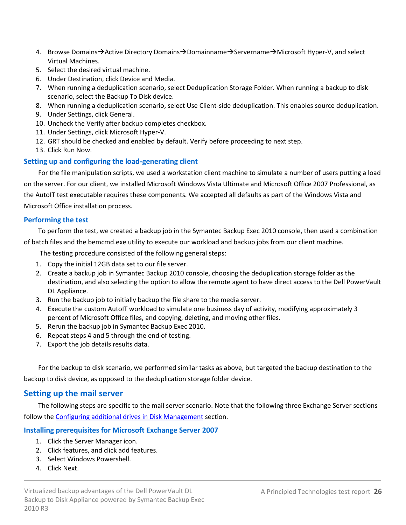- 4. Browse Domains $\rightarrow$ Active Directory Domains $\rightarrow$ Domainname $\rightarrow$ Servername $\rightarrow$ Microsoft Hyper-V, and select Virtual Machines.
- 5. Select the desired virtual machine.
- 6. Under Destination, click Device and Media.
- 7. When running a deduplication scenario, select Deduplication Storage Folder. When running a backup to disk scenario, select the Backup To Disk device.
- 8. When running a deduplication scenario, select Use Client-side deduplication. This enables source deduplication.
- 9. Under Settings, click General.
- 10. Uncheck the Verify after backup completes checkbox.
- 11. Under Settings, click Microsoft Hyper-V.
- 12. GRT should be checked and enabled by default. Verify before proceeding to next step.
- 13. Click Run Now.

### **Setting up and configuring the load-generating client**

For the file manipulation scripts, we used a workstation client machine to simulate a number of users putting a load on the server. For our client, we installed Microsoft Windows Vista Ultimate and Microsoft Office 2007 Professional, as the AutoIT test executable requires these components. We accepted all defaults as part of the Windows Vista and Microsoft Office installation process.

#### **Performing the test**

To perform the test, we created a backup job in the Symantec Backup Exec 2010 console, then used a combination

of batch files and the bemcmd.exe utility to execute our workload and backup jobs from our client machine.

The testing procedure consisted of the following general steps:

- 1. Copy the initial 12GB data set to our file server.
- 2. Create a backup job in Symantec Backup 2010 console, choosing the deduplication storage folder as the destination, and also selecting the option to allow the remote agent to have direct access to the Dell PowerVault DL Appliance.
- 3. Run the backup job to initially backup the file share to the media server.
- 4. Execute the custom AutoIT workload to simulate one business day of activity, modifying approximately 3 percent of Microsoft Office files, and copying, deleting, and moving other files.
- 5. Rerun the backup job in Symantec Backup Exec 2010.
- 6. Repeat steps 4 and 5 through the end of testing.
- 7. Export the job details results data.

For the backup to disk scenario, we performed similar tasks as above, but targeted the backup destination to the backup to disk device, as opposed to the deduplication storage folder device.

## **Setting up the mail server**

The following steps are specific to the mail server scenario. Note that the following three Exchange Server sections follow the [Configuring additional drives in Disk Management](#page-15-1) section.

### **Installing prerequisites for Microsoft Exchange Server 2007**

- 1. Click the Server Manager icon.
- 2. Click features, and click add features.
- 3. Select Windows Powershell.
- 4. Click Next.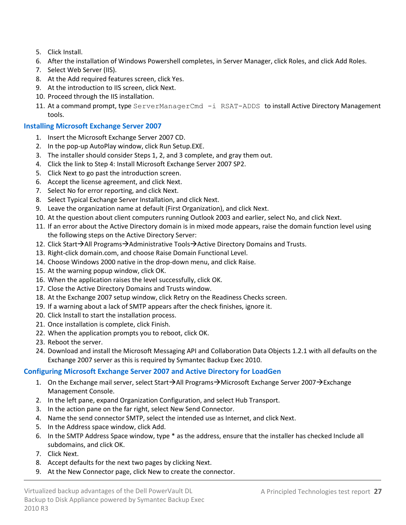- 5. Click Install.
- 6. After the installation of Windows Powershell completes, in Server Manager, click Roles, and click Add Roles.
- 7. Select Web Server (IIS).
- 8. At the Add required features screen, click Yes.
- 9. At the introduction to IIS screen, click Next.
- 10. Proceed through the IIS installation.
- 11. At a command prompt, type ServerManagerCmd -i RSAT-ADDS to install Active Directory Management tools.

## **Installing Microsoft Exchange Server 2007**

- 1. Insert the Microsoft Exchange Server 2007 CD.
- 2. In the pop-up AutoPlay window, click Run Setup.EXE.
- 3. The installer should consider Steps 1, 2, and 3 complete, and gray them out.
- 4. Click the link to Step 4: Install Microsoft Exchange Server 2007 SP2.
- 5. Click Next to go past the introduction screen.
- 6. Accept the license agreement, and click Next.
- 7. Select No for error reporting, and click Next.
- 8. Select Typical Exchange Server Installation, and click Next.
- 9. Leave the organization name at default (First Organization), and click Next.
- 10. At the question about client computers running Outlook 2003 and earlier, select No, and click Next.
- 11. If an error about the Active Directory domain is in mixed mode appears, raise the domain function level using the following steps on the Active Directory Server:
- 12. Click Start $\rightarrow$ All Programs $\rightarrow$ Administrative Tools $\rightarrow$ Active Directory Domains and Trusts.
- 13. Right-click domain.com, and choose Raise Domain Functional Level.
- 14. Choose Windows 2000 native in the drop-down menu, and click Raise.
- 15. At the warning popup window, click OK.
- 16. When the application raises the level successfully, click OK.
- 17. Close the Active Directory Domains and Trusts window.
- 18. At the Exchange 2007 setup window, click Retry on the Readiness Checks screen.
- 19. If a warning about a lack of SMTP appears after the check finishes, ignore it.
- 20. Click Install to start the installation process.
- 21. Once installation is complete, click Finish.
- 22. When the application prompts you to reboot, click OK.
- 23. Reboot the server.
- 24. Download and install the Microsoft Messaging API and Collaboration Data Objects 1.2.1 with all defaults on the Exchange 2007 server as this is required by Symantec Backup Exec 2010.

## **Configuring Microsoft Exchange Server 2007 and Active Directory for LoadGen**

- 1. On the Exchange mail server, select Start $\rightarrow$ All Programs $\rightarrow$ Microsoft Exchange Server 2007 $\rightarrow$ Exchange Management Console.
- 2. In the left pane, expand Organization Configuration, and select Hub Transport.
- 3. In the action pane on the far right, select New Send Connector.
- 4. Name the send connector SMTP, select the intended use as Internet, and click Next.
- 5. In the Address space window, click Add.
- 6. In the SMTP Address Space window, type \* as the address, ensure that the installer has checked Include all subdomains, and click OK.
- 7. Click Next.
- 8. Accept defaults for the next two pages by clicking Next.
- 9. At the New Connector page, click New to create the connector.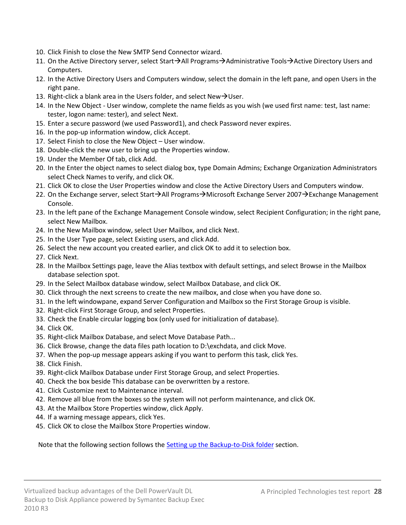- 10. Click Finish to close the New SMTP Send Connector wizard.
- 11. On the Active Directory server, select Start→All Programs→Administrative Tools→Active Directory Users and Computers.
- 12. In the Active Directory Users and Computers window, select the domain in the left pane, and open Users in the right pane.
- 13. Right-click a blank area in the Users folder, and select New $\rightarrow$ User.
- 14. In the New Object User window, complete the name fields as you wish (we used first name: test, last name: tester, logon name: tester), and select Next.
- 15. Enter a secure password (we used Password1), and check Password never expires.
- 16. In the pop-up information window, click Accept.
- 17. Select Finish to close the New Object User window.
- 18. Double-click the new user to bring up the Properties window.
- 19. Under the Member Of tab, click Add.
- 20. In the Enter the object names to select dialog box, type Domain Admins; Exchange Organization Administrators select Check Names to verify, and click OK.
- 21. Click OK to close the User Properties window and close the Active Directory Users and Computers window.
- 22. On the Exchange server, select Start $\rightarrow$ All Programs $\rightarrow$ Microsoft Exchange Server 2007 $\rightarrow$ Exchange Management Console.
- 23. In the left pane of the Exchange Management Console window, select Recipient Configuration; in the right pane, select New Mailbox.
- 24. In the New Mailbox window, select User Mailbox, and click Next.
- 25. In the User Type page, select Existing users, and click Add.
- 26. Select the new account you created earlier, and click OK to add it to selection box.
- 27. Click Next.
- 28. In the Mailbox Settings page, leave the Alias textbox with default settings, and select Browse in the Mailbox database selection spot.
- 29. In the Select Mailbox database window, select Mailbox Database, and click OK.
- 30. Click through the next screens to create the new mailbox, and close when you have done so.
- 31. In the left windowpane, expand Server Configuration and Mailbox so the First Storage Group is visible.
- 32. Right-click First Storage Group, and select Properties.
- 33. Check the Enable circular logging box (only used for initialization of database).
- 34. Click OK.
- 35. Right-click Mailbox Database, and select Move Database Path...
- 36. Click Browse, change the data files path location to D:\exchdata, and click Move.
- 37. When the pop-up message appears asking if you want to perform this task, click Yes.
- 38. Click Finish.
- 39. Right-click Mailbox Database under First Storage Group, and select Properties.
- 40. Check the box beside This database can be overwritten by a restore.
- 41. Click Customize next to Maintenance interval.
- 42. Remove all blue from the boxes so the system will not perform maintenance, and click OK.
- 43. At the Mailbox Store Properties window, click Apply.
- 44. If a warning message appears, click Yes.
- 45. Click OK to close the Mailbox Store Properties window.

Note that the following section follows the [Setting up the Backup-to-Disk folder](#page-18-0) section.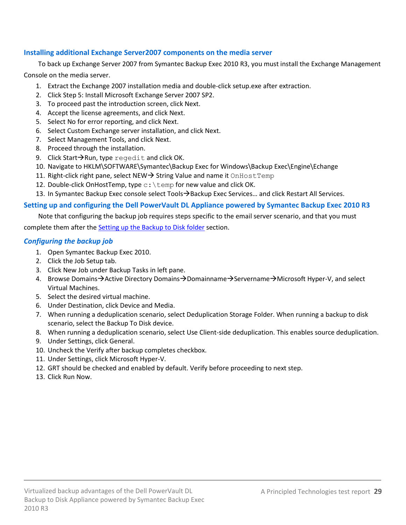## **Installing additional Exchange Server2007 components on the media server**

To back up Exchange Server 2007 from Symantec Backup Exec 2010 R3, you must install the Exchange Management Console on the media server.

- 1. Extract the Exchange 2007 installation media and double-click setup.exe after extraction.
- 2. Click Step 5: Install Microsoft Exchange Server 2007 SP2.
- 3. To proceed past the introduction screen, click Next.
- 4. Accept the license agreements, and click Next.
- 5. Select No for error reporting, and click Next.
- 6. Select Custom Exchange server installation, and click Next.
- 7. Select Management Tools, and click Next.
- 8. Proceed through the installation.
- 9. Click Start $\rightarrow$ Run, type regedit and click OK.
- 10. Navigate to HKLM\SOFTWARE\Symantec\Backup Exec for Windows\Backup Exec\Engine\Echange
- 11. Right-click right pane, select NEW  $\rightarrow$  String Value and name it OnHostTemp
- 12. Double-click OnHostTemp, type  $c:\text{temp}$  for new value and click OK.
- 13. In Symantec Backup Exec console select Tools > Backup Exec Services... and click Restart All Services.

## **Setting up and configuring the Dell PowerVault DL Appliance powered by Symantec Backup Exec 2010 R3**

Note that configuring the backup job requires steps specific to the email server scenario, and that you must

complete them after the [Setting up the Backup to Disk folder](#page-18-0) section.

## *Configuring the backup job*

- 1. Open Symantec Backup Exec 2010.
- 2. Click the Job Setup tab.
- 3. Click New Job under Backup Tasks in left pane.
- 4. Browse Domains $\rightarrow$ Active Directory Domains $\rightarrow$ Domainname $\rightarrow$ Servername $\rightarrow$ Microsoft Hyper-V, and select Virtual Machines.
- 5. Select the desired virtual machine.
- 6. Under Destination, click Device and Media.
- 7. When running a deduplication scenario, select Deduplication Storage Folder. When running a backup to disk scenario, select the Backup To Disk device.
- 8. When running a deduplication scenario, select Use Client-side deduplication. This enables source deduplication.
- 9. Under Settings, click General.
- 10. Uncheck the Verify after backup completes checkbox.
- 11. Under Settings, click Microsoft Hyper-V.
- 12. GRT should be checked and enabled by default. Verify before proceeding to next step.
- 13. Click Run Now.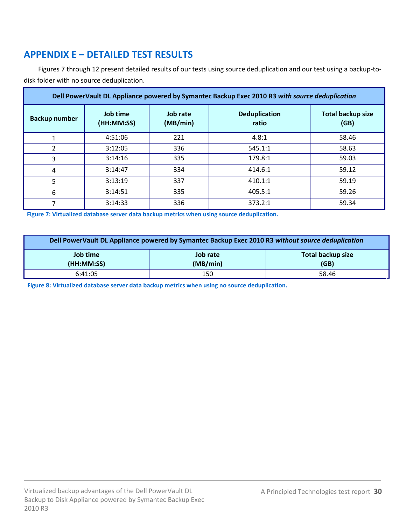# <span id="page-29-0"></span>**APPENDIX E – DETAILED TEST RESULTS**

Figures 7 through 12 present detailed results of our tests using source deduplication and our test using a backup-todisk folder with no source deduplication.

| Dell PowerVault DL Appliance powered by Symantec Backup Exec 2010 R3 with source deduplication |                        |                      |                               |                                  |
|------------------------------------------------------------------------------------------------|------------------------|----------------------|-------------------------------|----------------------------------|
| <b>Backup number</b>                                                                           | Job time<br>(HH:MM:SS) | Job rate<br>(MB/min) | <b>Deduplication</b><br>ratio | <b>Total backup size</b><br>(GB) |
| 1                                                                                              | 4:51:06                | 221                  | 4.8:1                         | 58.46                            |
| 2                                                                                              | 3:12:05                | 336                  | 545.1:1                       | 58.63                            |
| 3                                                                                              | 3:14:16                | 335                  | 179.8:1                       | 59.03                            |
| 4                                                                                              | 3:14:47                | 334                  | 414.6:1                       | 59.12                            |
| 5                                                                                              | 3:13:19                | 337                  | 410.1:1                       | 59.19                            |
| 6                                                                                              | 3:14:51                | 335                  | 405.5:1                       | 59.26                            |
|                                                                                                | 3:14:33                | 336                  | 373.2:1                       | 59.34                            |

**Figure 7: Virtualized database server data backup metrics when using source deduplication.**

| Dell PowerVault DL Appliance powered by Symantec Backup Exec 2010 R3 without source deduplication |     |       |  |
|---------------------------------------------------------------------------------------------------|-----|-------|--|
| <b>Total backup size</b><br>Job time<br>Job rate<br>(GB)<br>(MB/min)<br>(HH:MM:SS)                |     |       |  |
| 6:41:05                                                                                           | 150 | 58.46 |  |

**Figure 8: Virtualized database server data backup metrics when using no source deduplication.**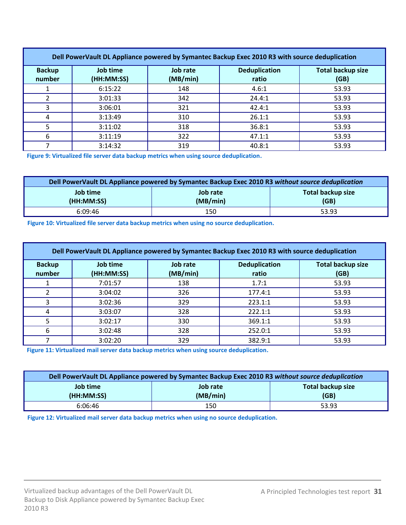| Dell PowerVault DL Appliance powered by Symantec Backup Exec 2010 R3 with source deduplication |                        |                      |                               |                                  |
|------------------------------------------------------------------------------------------------|------------------------|----------------------|-------------------------------|----------------------------------|
| <b>Backup</b><br>number                                                                        | Job time<br>(HH:MM:SS) | Job rate<br>(MB/min) | <b>Deduplication</b><br>ratio | <b>Total backup size</b><br>(GB) |
|                                                                                                | 6:15:22                | 148                  | 4.6:1                         | 53.93                            |
|                                                                                                | 3:01:33                | 342                  | 24.4:1                        | 53.93                            |
|                                                                                                | 3:06:01                | 321                  | 42.4:1                        | 53.93                            |
| 4                                                                                              | 3:13:49                | 310                  | 26.1:1                        | 53.93                            |
|                                                                                                | 3:11:02                | 318                  | 36.8:1                        | 53.93                            |
| 6                                                                                              | 3:11:19                | 322                  | 47.1:1                        | 53.93                            |
|                                                                                                | 3:14:32                | 319                  | 40.8:1                        | 53.93                            |

**Figure 9: Virtualized file server data backup metrics when using source deduplication.**

| Dell PowerVault DL Appliance powered by Symantec Backup Exec 2010 R3 without source deduplication |          |       |  |
|---------------------------------------------------------------------------------------------------|----------|-------|--|
| Job time<br>Total backup size<br>Job rate                                                         |          |       |  |
| (HH:MM:SS)                                                                                        | (MB/min) | (GB)  |  |
| 6:09:46                                                                                           | 150      | 53.93 |  |

**Figure 10: Virtualized file server data backup metrics when using no source deduplication.**

| Dell PowerVault DL Appliance powered by Symantec Backup Exec 2010 R3 with source deduplication |                        |                      |                               |                                  |
|------------------------------------------------------------------------------------------------|------------------------|----------------------|-------------------------------|----------------------------------|
| <b>Backup</b><br>number                                                                        | Job time<br>(HH:MM:SS) | Job rate<br>(MB/min) | <b>Deduplication</b><br>ratio | <b>Total backup size</b><br>(GB) |
|                                                                                                | 7:01:57                | 138                  | 1.7:1                         | 53.93                            |
| 2                                                                                              | 3:04:02                | 326                  | 177.4:1                       | 53.93                            |
| 3                                                                                              | 3:02:36                | 329                  | 223.1:1                       | 53.93                            |
| 4                                                                                              | 3:03:07                | 328                  | 222.1:1                       | 53.93                            |
| 5                                                                                              | 3:02:17                | 330                  | 369.1:1                       | 53.93                            |
| 6                                                                                              | 3:02:48                | 328                  | 252.0:1                       | 53.93                            |
|                                                                                                | 3:02:20                | 329                  | 382.9:1                       | 53.93                            |

**Figure 11: Virtualized mail server data backup metrics when using source deduplication.**

| Dell PowerVault DL Appliance powered by Symantec Backup Exec 2010 R3 without source deduplication |     |       |  |
|---------------------------------------------------------------------------------------------------|-----|-------|--|
| Job time<br><b>Total backup size</b><br>Job rate<br>(HH:MM:SS)<br>(MB/min)<br>(GB)                |     |       |  |
| 6:06:46                                                                                           | 150 | 53.93 |  |

**Figure 12: Virtualized mail server data backup metrics when using no source deduplication.**